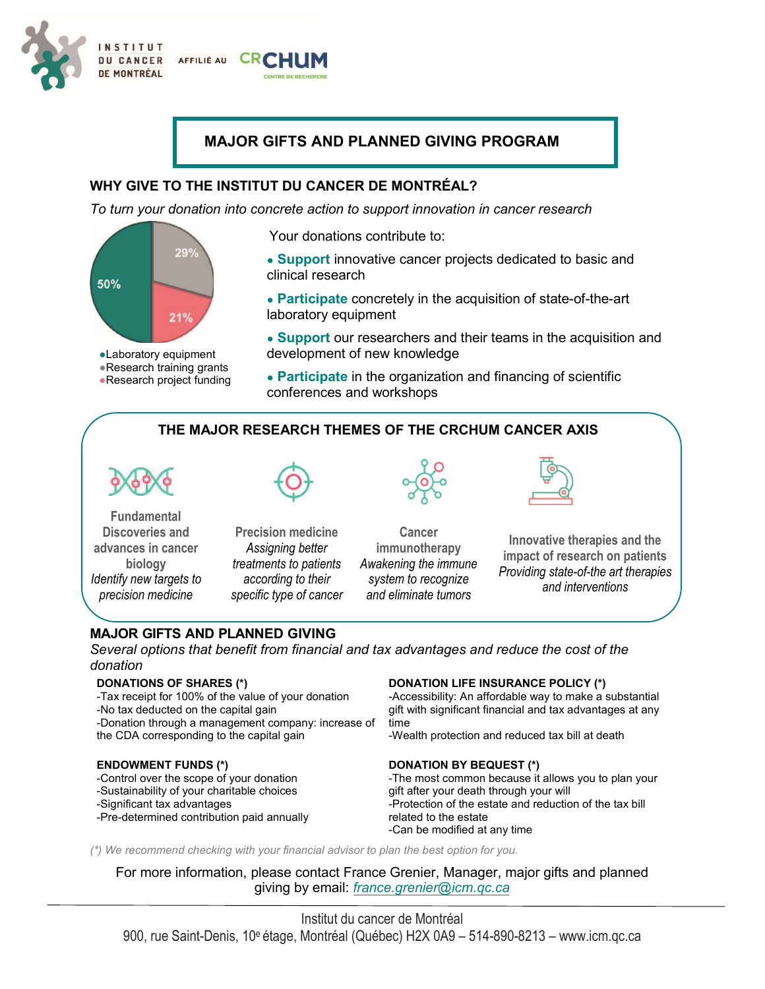

# **MAJOR GIFTS AND PLANNED GIVING PROGRAM**

## **WHY GIVE TO THE INSTITUT DU CANCER DE MONTRÉAL?**

*To turn your donation into concrete action to support innovation in cancer research*



●Laboratory equipment ●Research training grants •Research project funding

Your donations contribute to:

- **Support** innovative cancer projects dedicated to basic and clinical research
- **Participate** concretely in the acquisition of state-of-the-art laboratory equipment
- **Support** our researchers and their teams in the acquisition and development of new knowledge
- **Participate** in the organization and financing of scientific conferences and workshops

# **THE MAJOR RESEARCH THEMES OF THE CRCHUM CANCER AXIS**



**Fundamental Discoveries and advances in cancer biology** *Identify new targets to precision medicine*



**Precision medicine** *Assigning better treatments to patients according to their specific type of cancer*

**Cancer immunotherapy** *Awakening the immune system to recognize* 

*and eliminate tumors*



**Innovative therapies and the impact of research on patients** *Providing state-of-the art therapies and interventions*

## **MAJOR GIFTS AND PLANNED GIVING**

*Several options that benefit from financial and tax advantages and reduce the cost of the donation*

## **DONATIONS OF SHARES (\*)**

-Tax receipt for 100% of the value of your donation -No tax deducted on the capital gain -Donation through a management company: increase of the CDA corresponding to the capital gain

## **ENDOWMENT FUNDS (\*)**

-Control over the scope of your donation -Sustainability of your charitable choices

#### -Significant tax advantages

-Pre-determined contribution paid annually

## **DONATION LIFE INSURANCE POLICY (\*)**

-Accessibility: An affordable way to make a substantial gift with significant financial and tax advantages at any time

-Wealth protection and reduced tax bill at death

## **DONATION BY BEQUEST (\*)**

-The most common because it allows you to plan your gift after your death through your will -Protection of the estate and reduction of the tax bill related to the estate -Can be modified at any time

*(\*) We recommend checking with your financial advisor to plan the best option for you.*

For more information, please contact France Grenier, Manager, major gifts and planned giving by email: *france.grenier@icm.qc.ca*